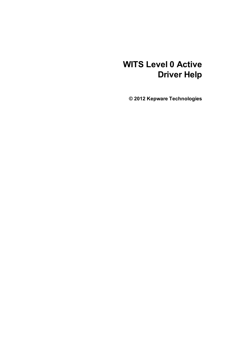# **WITS Level 0 Active Driver Help**

**© 2012 Kepware Technologies**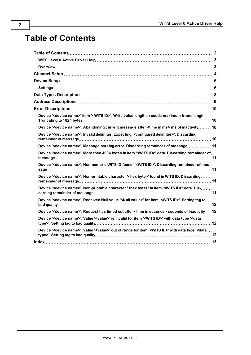# <span id="page-1-0"></span>**Table of Contents**

| Device ' <device name="">' item '<wits id="">', Write value length exceeds maximum frame length</wits></device>                                   |
|---------------------------------------------------------------------------------------------------------------------------------------------------|
| Device ' <device name="">', Abandoning current message after <time in="" ms=""> ms of inactivity 10</time></device>                               |
| Device ' <device name="">', Invalid delimiter. Expecting '<configured delimiter="">'. Discarding</configured></device>                            |
| Device ' <device name="">', Message parsing error. Discarding remainder of message 11</device>                                                    |
| Device ' <device name="">', More than 4096 bytes in item '<wits id="">' data. Discarding remainder of</wits></device>                             |
| Device ' <device name="">', Non-numeric WITS ID found: '<wits id="">'. Discarding remainder of mes-.</wits></device>                              |
| Device ' <device name="">', Non-printable character '<hex byte="">' found in WITS ID. Discarding</hex></device>                                   |
| Device ' <device name="">', Non-printable character '<hex byte="">' in item '<wits id="">' data. Dis-</wits></hex></device>                       |
| Device ' <device name="">', Received Null value '<null value="">' for item '<wits id="">'. Setting tag to</wits></null></device>                  |
| Device ' <device name="">', Request has timed out after <time in="" seconds=""> seconds of inactivity 12</time></device>                          |
| Device ' <device name="">', Value '<value>' is invalid for item '<wits id="">' with data type '<data <="" td=""></data></wits></value></device>   |
| Device ' <device name="">', Value '<value>' out of range for item '<wits id="">' with data type '<data <="" td=""></data></wits></value></device> |
|                                                                                                                                                   |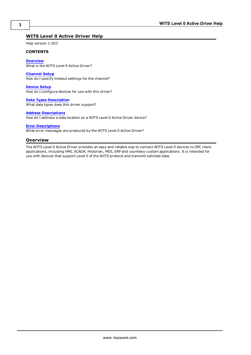# <span id="page-2-0"></span>**WITS Level 0 Active Driver Help**

Help version 1.003

#### **CONTENTS**

**[Overview](#page-2-1)** What is the WITS Level 0 Active Driver?

**[Channel](#page-3-0) [Setup](#page-3-0)** How do I specify timeout settings for the channel?

**[Device](#page-5-0) [Setup](#page-5-0)** How do I configure devices for use with this driver?

**[Data](#page-7-0) [Types](#page-7-0) [Description](#page-7-0)** What data types does this driver support?

#### **[Address](#page-8-0) [Descriptions](#page-8-0)**

How do I address a data location on a WITS Level 0 Active Driver device?

# **[Error](#page-9-0) [Descriptions](#page-9-0)**

<span id="page-2-1"></span>What error messages are produced by the WITS Level 0 Active Driver?

# **Overview**

The WITS Level 0 Active Driver provides an easy and reliable way to connect WITS Level 0 devices to OPC client applications, including HMI, SCADA, Historian, MES, ERP and countless custom applications. It is intended for use with devices that support Level 0 of the WITS protocol and transmit solicited data.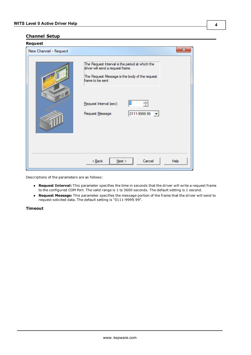# <span id="page-3-0"></span>**Channel Setup**

| Request<br>New Channel - Request | x                                                                                                                                                           |
|----------------------------------|-------------------------------------------------------------------------------------------------------------------------------------------------------------|
|                                  | The Request Interval is the period at which the<br>driver will send a request frame.<br>The Request Message is the body of the request<br>frame to be sent. |
| $-0.1$                           | Request Interval (sec):<br>0111-9999.99<br>Request Message:<br>$\overline{\phantom{a}}$                                                                     |
|                                  | Cancel<br>$<$ Back<br>$N$ ext ><br>Help                                                                                                                     |

Descriptions of the parameters are as follows:

- **Request Interval:** This parameter specifies the time in seconds that the driver will write a request frame to the configured COM Port. The valid range is 1 to 3600 seconds. The default setting is 1 second.
- **Request Message:** This parameter specifies the message portion of the frame that the driver will send to request solicited data. The default setting is "0111-9999.99".

# **Timeout**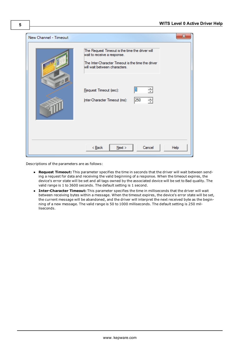| New Channel - Timeout |                                                                                                                                                                       |
|-----------------------|-----------------------------------------------------------------------------------------------------------------------------------------------------------------------|
| $-9$                  | The Request Timeout is the time the driver will<br>wait to receive a response.<br>The Inter-Character Timeout is the time the driver<br>will wait between characters. |
|                       | Request Timeout (sec):<br>250<br>Inter-Character Timeout (ms):<br>골                                                                                                   |
|                       | $<$ Back<br>$N$ ext ><br>Cancel<br>Help                                                                                                                               |

Descriptions of the parameters are as follows:

- **Request Timeout:** This parameter specifies the time in seconds that the driver will wait between sending a request for data and receiving the valid beginning of a response. When the timeout expires, the device's error state will be set and all tags owned by the associated device will be set to Bad quality. The valid range is 1 to 3600 seconds. The default setting is 1 second.
- **· Inter-Character Timeout:** This parameter specifies the time in milliseconds that the driver will wait between receiving bytes within a message. When the timeout expires, the device's error state will be set, the current message will be abandoned, and the driver will interpret the next received byte as the beginning of a new message. The valid range is 50 to 1000 milliseconds. The default setting is 250 milliseconds.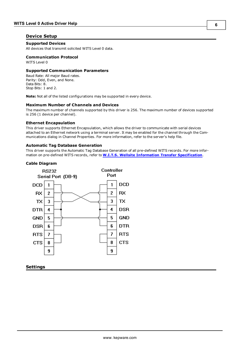# <span id="page-5-0"></span>**Device Setup**

# **Supported Devices**

All devices that transmit solicited WITS Level 0 data.

# **Communication Protocol**

WITS Level 0

# **Supported Communication Parameters**

Baud Rate: All major Baud rates. Parity: Odd, Even, and None. Data Bits: 8. Stop Bits: 1 and 2.

**Note:** Not all of the listed configurations may be supported in every device.

#### **Maximum Number of Channels and Devices**

The maximum number of channels supported by this driver is 256. The maximum number of devices supported is 256 (1 device per channel).

#### **Ethernet Encapsulation**

This driver supports Ethernet Encapsulation, which allows the driver to communicate with serial devices attached to an Ethernet network using a terminal server. It may be enabled for the channel through the Communications dialog in Channel Properties. For more information, refer to the server's help file.

## **Automatic Tag Database Generation**

This driver supports the Automatic Tag Database Generation of all pre-defined WITS records. For more information on pre-defined WITS records, refer to **[W.I.T.S.](http://home.sprynet.com/~carob/) [Wellsite](http://home.sprynet.com/~carob/) [Information](http://home.sprynet.com/~carob/) [Transfer](http://home.sprynet.com/~carob/) [Specification](http://home.sprynet.com/~carob/)**.

# **Cable Diagram**



<span id="page-5-1"></span>**Settings**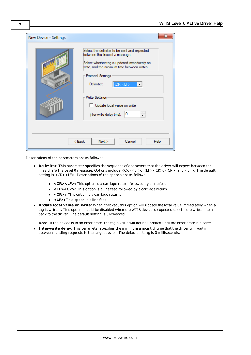| New Device - Settings | x                                                                                                                                                                                                                                                                                                                                                 |
|-----------------------|---------------------------------------------------------------------------------------------------------------------------------------------------------------------------------------------------------------------------------------------------------------------------------------------------------------------------------------------------|
| $-0$                  | Select the delimiter to be sent and expected<br>between the lines of a message.<br>Select whether tag is updated immediately on<br>write, and the minimum time between writes.<br>Protocol Settings<br><cr><lf><br/>Delimiter:<br/>−<br/><b>Write Settings</b><br/>Update local value on write<br/>싂<br/>10<br/>Inter-write delay (ms):</lf></cr> |
|                       | Cancel<br>Next<br>< <u>B</u> ack<br>Help                                                                                                                                                                                                                                                                                                          |

Descriptions of the parameters are as follows:

- **Delimiter:** This parameter specifies the sequence of characters that the driver will expect between the lines of a WITS Level 0 message. Options include <CR><LF>, <LF><CR>, <CR>, and <LF>. The default setting is <CR><LF>. Descriptions of the options are as follows:
	- **<CR><LF>:** This option is a carriage return followed by a line feed.
	- **·** <LF><CR>: This option is a line feed followed by a carriage return.
	- **<CR>:** This option is a carriage return.
	- **•** <LF>: This option is a line feed.
- **· Update local value on write:** When checked, this option will update the local value immediately when a tag is written. This option should be disabled when the WITS device is expected to echo the written item back to the driver. The default setting is unchecked.

**Note:** If the device is in an error state, the tag's value will not be updated until the error state is cleared.

**Inter-write delay:** This parameter specifies the minimum amount of time that the driver will wait in between sending requests to the target device. The default setting is 0 milliseconds.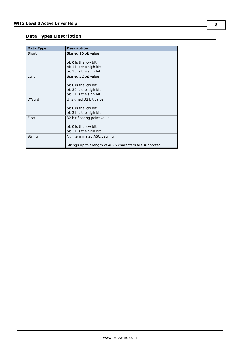# <span id="page-7-0"></span>**Data Types Description**

| Data Type    | <b>Description</b>                                       |
|--------------|----------------------------------------------------------|
| Short        | Signed 16 bit value                                      |
|              |                                                          |
|              | bit 0 is the low bit                                     |
|              | bit 14 is the high bit                                   |
|              | bit 15 is the sign bit                                   |
| Long         | Signed 32 bit value                                      |
|              |                                                          |
|              | bit 0 is the low bit                                     |
|              | bit 30 is the high bit                                   |
|              | bit 31 is the sign bit                                   |
| <b>DWord</b> | Unsigned 32 bit value                                    |
|              |                                                          |
|              | bit 0 is the low bit                                     |
|              | bit 31 is the high bit                                   |
| Float        | 32 bit floating point value                              |
|              |                                                          |
|              | bit 0 is the low bit                                     |
|              | bit 31 is the high bit                                   |
| String       | Null terminated ASCII string                             |
|              |                                                          |
|              | Strings up to a length of 4096 characters are supported. |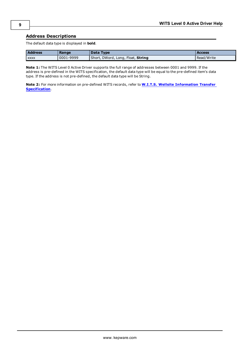# <span id="page-8-0"></span>**Address Descriptions**

The default data type is displayed in **bold**.

| <b>Address</b> | Range     | Data Type                         | <b>Access</b> |
|----------------|-----------|-----------------------------------|---------------|
| <b>XXXX</b>    | 0001-9999 | Short, DWord, Long, Float, String | Read/Write    |

**Note 1:** The WITS Level 0 Active Driver supports the full range of addresses between 0001 and 9999. If the address is pre-defined in the WITS specification, the default data type will be equal to the pre-defined item's data type. If the address is not pre-defined, the default data type will be String.

**Note 2:** For more information on pre-defined WITS records, refer to **[W.I.T.S.](http://home.sprynet.com/~carob/) [Wellsite](http://home.sprynet.com/~carob/) [Information](http://home.sprynet.com/~carob/) [Transfer](http://home.sprynet.com/~carob/) [Specification](http://home.sprynet.com/~carob/)**.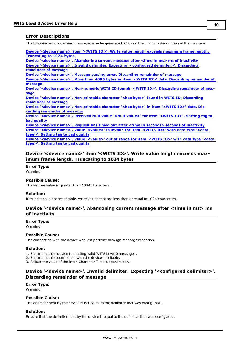# <span id="page-9-0"></span>**Error Descriptions**

The following error/warning messages may be generated. Click on the link for a description of the message.

**[Device](#page-9-1) ['<device](#page-9-1) [name>'](#page-9-1) [item](#page-9-1) ['<WITS](#page-9-1) [ID>',](#page-9-1) [Write](#page-9-1) [value](#page-9-1) [length](#page-9-1) [exceeds](#page-9-1) [maximum](#page-9-1) [frame](#page-9-1) [length.](#page-9-1) [Truncating](#page-9-1) [to](#page-9-1) [1024](#page-9-1) [bytes](#page-9-1)**

**[Device](#page-9-2) ['<device](#page-9-2) [name>',](#page-9-2) [Abandoning](#page-9-2) [current](#page-9-2) [message](#page-9-2) [after](#page-9-2) [<time](#page-9-2) [in](#page-9-2) [ms>](#page-9-2) [ms](#page-9-2) [of](#page-9-2) [inactivity](#page-9-2) [Device](#page-9-3) ['<device](#page-9-3) [name>',](#page-9-3) [Invalid](#page-9-3) [delimiter.](#page-9-3) [Expecting](#page-9-3) ['<configured](#page-9-3) [delimiter>'.](#page-9-3) [Discarding](#page-9-3) [remainder](#page-9-3) [of](#page-9-3) [message](#page-9-3)**

**[Device](#page-10-0) ['>device](#page-10-0) [name<',](#page-10-0) [Message](#page-10-0) [parsing](#page-10-0) [error.](#page-10-0) [Discarding](#page-10-0) [remainder](#page-10-0) [of](#page-10-0) [message](#page-10-0)**

**[Device](#page-10-1) ['<device](#page-10-1) [name>',](#page-10-1) [More](#page-10-1) [than](#page-10-1) [4096](#page-10-1) [bytes](#page-10-1) [in](#page-10-1) [item](#page-10-1) ['<WITS](#page-10-1) [ID>'](#page-10-1) [data.](#page-10-1) [Discarding](#page-10-1) [remainder](#page-10-1) [of](#page-10-1) [message](#page-10-1)**

**[Device](#page-10-2) ['<device](#page-10-2) [name>',](#page-10-2) [Non-numeric](#page-10-2) [WITS](#page-10-2) [ID](#page-10-2) [found:](#page-10-2) ['<WITS](#page-10-2) [ID>'.](#page-10-2) [Discarding](#page-10-2) [remainder](#page-10-2) [of](#page-10-2) [mes](#page-10-2)[sage](#page-10-2)**

**[Device](#page-10-3) ['<device](#page-10-3) [name>',](#page-10-3) [Non-printable](#page-10-3) [character](#page-10-3) ['<hex](#page-10-3) [byte>'](#page-10-3) [found](#page-10-3) [in](#page-10-3) [WITS](#page-10-3) [ID.](#page-10-3) [Discarding](#page-10-3) [remainder](#page-10-3) [of](#page-10-3) [message](#page-10-3)**

**[Device](#page-10-4) ['<device](#page-10-4) [name>',](#page-10-4) [Non-printable](#page-10-4) [character](#page-10-4) ['<hex](#page-10-4) [byte>'](#page-10-4) [in](#page-10-4) [item](#page-10-4) ['<WITS](#page-10-4) [ID>'](#page-10-4) [data.](#page-10-4) [Dis](#page-10-4)[carding](#page-10-4) [remainder](#page-10-4) [of](#page-10-4) [message](#page-10-4)**

**[Device](#page-11-0) ['<device](#page-11-0) [name>',](#page-11-0) [Received](#page-11-0) [Null](#page-11-0) [value](#page-11-0) ['<Null](#page-11-0) [value>'](#page-11-0) [for](#page-11-0) [item](#page-11-0) ['<WITS](#page-11-0) [ID>'.](#page-11-0) [Setting](#page-11-0) [tag](#page-11-0) [to](#page-11-0) [bad](#page-11-0) [quality](#page-11-0)**

**[Device](#page-11-1) ['<device](#page-11-1) [name>',](#page-11-1) [Request](#page-11-1) [has](#page-11-1) [timed](#page-11-1) [out](#page-11-1) [after](#page-11-1) [<time](#page-11-1) [in](#page-11-1) [seconds>](#page-11-1) [seconds](#page-11-1) [of](#page-11-1) [inactivity](#page-11-1) [Device](#page-11-2) ['<device](#page-11-2) [name>',](#page-11-2) [Value](#page-11-2) ['<value>'](#page-11-2) [is](#page-11-2) [invalid](#page-11-2) [for](#page-11-2) [item](#page-11-2) ['<WITS](#page-11-2) [ID>'](#page-11-2) [with](#page-11-2) [data](#page-11-2) [type](#page-11-2) ['<data](#page-11-2) [type>'.](#page-11-2) [Setting](#page-11-2) [tag](#page-11-2) [to](#page-11-2) [bad](#page-11-2) [quality](#page-11-2)**

**[Device](#page-11-3) ['<device](#page-11-3) [name>',](#page-11-3) [Value](#page-11-3) ['<value>'](#page-11-3) [out](#page-11-3) [of](#page-11-3) [range](#page-11-3) [for](#page-11-3) [item](#page-11-3) ['<WITS](#page-11-3) [ID>'](#page-11-3) [with](#page-11-3) [data](#page-11-3) [type](#page-11-3) ['<data](#page-11-3) [type>'.](#page-11-3) [Setting](#page-11-3) [tag](#page-11-3) [to](#page-11-3) [bad](#page-11-3) [quality](#page-11-3)**

# <span id="page-9-1"></span>**Device '<device name>' item '<WITS ID>', Write value length exceeds maximum frame length. Truncating to 1024 bytes**

## **Error Type:**

Warning

## **Possible Cause:**

The written value is greater than 1024 characters.

#### **Solution:**

<span id="page-9-2"></span>If truncation is not acceptable, write values that are less than or equal to 1024 characters.

# **Device '<device name>', Abandoning current message after <time in ms> ms of inactivity**

**Error Type:**

Warning

#### **Possible Cause:**

The connection with the device was lost partway through message reception.

#### **Solution:**

1. Ensure that the device is sending valid WITS Level 0 messages.

- 2. Ensure that the connection with the device is reliable.
- <span id="page-9-3"></span>3. Adjust the value of the Inter-Character Timeout parameter.

# **Device '<device name>', Invalid delimiter. Expecting '<configured delimiter>'. Discarding remainder of message**

#### **Error Type:**

Warning

#### **Possible Cause:**

The delimiter sent by the device is not equal to the delimiter that was configured.

# **Solution:**

Ensure that the delimiter sent by the device is equal to the delimiter that was configured.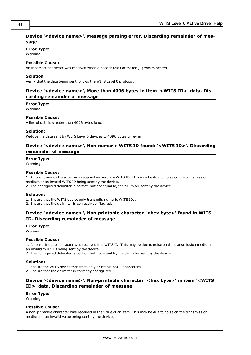# <span id="page-10-0"></span>**Device '<device name>', Message parsing error. Discarding remainder of message**

# **Error Type:**

Warning

# **Possible Cause:**

An incorrect character was received when a header (&&) or trailer (!!) was expected.

#### **Solution**

<span id="page-10-1"></span>Verify that the data being sent follows the WITS Level 0 protocol.

# **Device '<device name>', More than 4096 bytes in item '<WITS ID>' data. Discarding remainder of message**

#### **Error Type:**

Warning

# **Possible Cause:**

A line of data is greater than 4096 bytes long.

#### **Solution:**

<span id="page-10-2"></span>Reduce the data sent by WITS Level 0 devices to 4096 bytes or fewer.

# **Device '<device name>', Non-numeric WITS ID found: '<WITS ID>'. Discarding remainder of message**

## **Error Type:**

Warning

# **Possible Cause:**

1. A non-numeric character was received as part of a WITS ID. This may be due to noise on the transmission medium or an invalid WITS ID being sent by the device.

2. The configured delimiter is part of, but not equal to, the delimiter sent by the device.

#### **Solution:**

1. Ensure that the WITS device only transmits numeric WITS IDs.

<span id="page-10-3"></span>2. Ensure that the delimiter is correctly configured.

# **Device '<device name>', Non-printable character '<hex byte>' found in WITS ID. Discarding remainder of message**

# **Error Type:**

Warning

#### **Possible Cause:**

1. A non-printable character was received in a WITS ID. This may be due to noise on the transmission medium or an invalid WITS ID being sent by the device.

2. The configured delimiter is part of, but not equal to, the delimiter sent by the device.

#### **Solution:**

1. Ensure the WITS device transmits only printable ASCII characters.

<span id="page-10-4"></span>2. Ensure that the delimiter is correctly configured.

# **Device '<device name>', Non-printable character '<hex byte>' in item '<WITS ID>' data. Discarding remainder of message**

# **Error Type:**

Warning

# **Possible Cause:**

A non-printable character was received in the value of an item. This may be due to noise on the transmission medium or an invalid value being sent by the device.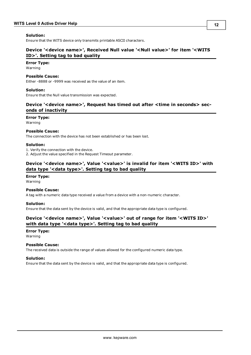# **Solution:**

<span id="page-11-0"></span>Ensure that the WITS device only transmits printable ASCII characters.

# **Device '<device name>', Received Null value '<Null value>' for item '<WITS ID>'. Setting tag to bad quality**

#### **Error Type:**

Warning

## **Possible Cause:**

Either -8888 or -9999 was received as the value of an item.

## **Solution:**

<span id="page-11-1"></span>Ensure that the Null value transmission was expected.

# **Device '<device name>', Request has timed out after <time in seconds> seconds of inactivity**

# **Error Type:**

Warning

## **Possible Cause:**

The connection with the device has not been established or has been lost.

## **Solution:**

1. Verify the connection with the device.

<span id="page-11-2"></span>2. Adjust the value specified in the Request Timeout parameter.

# **Device '<device name>', Value '<value>' is invalid for item '<WITS ID>' with data type '<data type>'. Setting tag to bad quality**

# **Error Type:**

Warning

#### **Possible Cause:**

A tag with a numeric data type received a value from a device with a non-numeric character.

#### **Solution:**

<span id="page-11-3"></span>Ensure that the data sent by the device is valid, and that the appropriate data type is configured.

# **Device '<device name>', Value '<value>' out of range for item '<WITS ID>' with data type '<data type>'. Setting tag to bad quality**

# **Error Type:**

Warning

#### **Possible Cause:**

The received data is outside the range of values allowed for the configured numeric data type.

# **Solution:**

Ensure that the data sent by the device is valid, and that the appropriate data type is configured.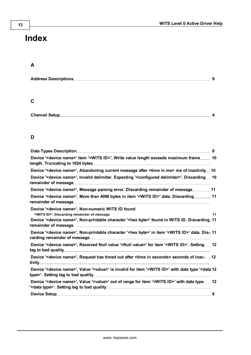# <span id="page-12-0"></span>**Index**

# **A**

|--|

# **C**

# **D**

| Device ' <device name="">' item '<wits id="">', Write value length exceeds maximum frame  10</wits></device>                                      |
|---------------------------------------------------------------------------------------------------------------------------------------------------|
| Device ' <device name="">', Abandoning current message after <time in="" ms=""> ms of inactivity 10</time></device>                               |
| Device ' <device name="">', Invalid delimiter. Expecting '<configured delimiter="">'. Discarding  10</configured></device>                        |
| Device ' <device name="">', Message parsing error. Discarding remainder of message 11</device>                                                    |
| Device ' <device name="">', More than 4096 bytes in item '<wits id="">' data. Discarding  11</wits></device>                                      |
| Device ' <device name="">', Non-numeric WITS ID found</device>                                                                                    |
| ' <wits id="">'. Discarding remainder of message<br/>11</wits>                                                                                    |
| Device ' <device name="">', Non-printable character '<hex byte="">' found in WITS ID. Discarding 11</hex></device>                                |
| Device ' <device name="">', Non-printable character '<hex byte="">' in item '<wits id="">' data. Dis- 11</wits></hex></device>                    |
| Device ' <device name="">', Received Null value '<null value="">' for item '<wits id="">'. Setting  12</wits></null></device>                     |
| Device ' <device name="">', Request has timed out after <time in="" seconds=""> seconds of inac 12</time></device>                                |
| Device ' <device name="">', Value '<value>' is invalid for item '<wits id="">' with data type '<data 12<="" td=""></data></wits></value></device> |
| Device ' <device name="">', Value '<value>' out of range for item '<wits id="">' with data type  12</wits></value></device>                       |
|                                                                                                                                                   |